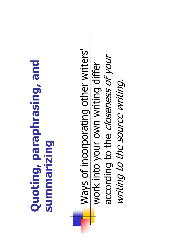## Quoting, paraphrasing, and Quoting, paraphrasing, and summarizing

Ways of incorporating other writers' Ways of incorporating other writers' according to the closeness of your according to the closeness of your work into your own writing differ work into your own writing differ writing to the source writing. writing to the source writing.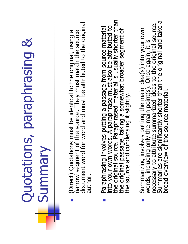## Quotations, paraphrasing & Quotations, paraphrasing & Summary

- **Coirect) Quotations must be identical to the original, using a** narrow segment of the source. They must match the source document word for word and must be attributed to the original author. narrow segment of the source. They must match the source<br>document word for word and must be attributed to the original (Direct) Quotations must be identical to the original, using a author. Г
- the original source. Paraphrased material is usually shorter than<br>the original passage, taking a somewhat broader segment of<br>the source and condensing it slightly. Paraphrasing involves putting a passage from source material<br>into your own words. A paraphrase must also be attributed to<br>the original source. Paraphrased material is usually shorter than<br>the original passage, taking a som Paraphrasing involves putting a passage from source material into your own words. A paraphrase must also be attributed to source and condensing it slightly. the: Г
- Summarizing involves putting the main idea(s) into your own<br>words, including only the main point(s). Once again, it is<br>necessary to attribute summarized ideas to the original source.<br>Summaries are significantly shorter tha **Summarizing involves putting the main idea(s) into your own**<br>words, including only the main point(s). Once again, it is<br>necessary to attribute summarized ideas to the original source.<br>Summaries are significantly shorter t П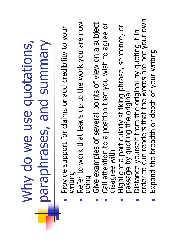### Why do we use quotations, Why do we use quotations, paraphrases, and summary **baraphrases, and summary**

- Provide support for claims or add credibility to your Provide support for claims or add credibility to your writing T.
- Refer to work that leads up to the work you are now Refer to work that leads up to the work you are now doing T.
- Give examples of several points of view on a subject Give examples of several points of view on a subject m.
- Call attention to a position that you wish to agree or disagree with Call attention to a position that you wish to agree or disagree with m.
	- Highlight a particularly striking phrase, sentence, or passage by quoting the original Highlight a particularly striking phrase, sentence, or<br>passage by quoting the original m.
- **Distance yourself from the original by quoting it in order to cue readers that the words are not your own** Distance yourself from the original by quoting it in<br>order to cue readers that the words are not your own a.
	- Expand the breadth or depth of your writing Expand the breadth or depth of your writing m.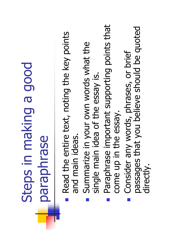### Steps in making a good Steps in making a good paraphrase

- **Read the entire text, noting the key points** Read the entire text, noting the key points and main ideas. and main ideas.  $\mathbb{R}^3$
- **Summarize in your own words what the** Summarize in your own words what the single main idea of the essay is. single main idea of the essay is. F
- Paraphrase important supporting points that Paraphrase important supporting points that come up in the essay. come up in the essay. F
- passages that you believe should be quoted passages that you believe should be quoted **Consider any words, phrases, or brief** Consider any words, phrases, or brief directly. T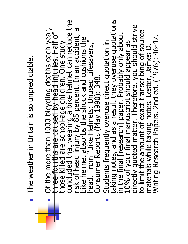Of the more than 1000 bicycling deaths each year,<br>three-fourths are school-age children. One study<br>those killed are school-age children. One study<br>concluded that wearing a bike helmet can reduce the<br>risk of head injury by head. From "Bike Helmets: Unused Lifesavers," Students frequently overuse direct quotation in The weather in Britain is so unpredictable. Consumer Reports (May 1990): 348. Consumer Reports (May 1990): 348.  $\mathbb{R}^3$ a.

The weather in Britain is so unpredictable.

Students frequently overuse direct quotation in<br>taking notes, and as a result they overuse quotations<br>in the final [research] paper. Probably only about<br>10% of your final manuscript should appear as<br>directly quoted matter.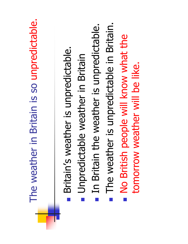| The weather in Britain is so unpredictable | The weather is unpredictable in Britain.<br>the weather is unpredictable.<br>No British people will know what the<br>Britain's weather is unpredictable<br>Unpredictable weather in Britain<br>tomorrow weather will be like.<br>In Britain |
|--------------------------------------------|---------------------------------------------------------------------------------------------------------------------------------------------------------------------------------------------------------------------------------------------|
|                                            |                                                                                                                                                                                                                                             |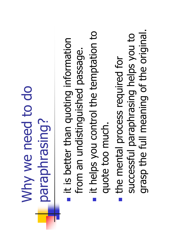### Why we need to do Why we need to do paraphrasing?

- it is better than quoting information it is better than quoting information from an undistinguished passage. from an undistinguished passage.
- it helps you control the temptation to it helps you control the temptation to quote too much. quote too much.
- grasp the full meaning of the original. grasp the full meaning of the original. successful paraphrasing helps you to successful paraphrasing helps you to the mental process required for the mental process required for **Service Service**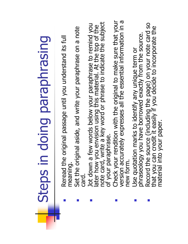# Steps in doing paraphrasing Steps in doing paraphrasing

 Reread the original passage until you understand its full Reread the original passage until you understand its full meaning.

Г

П

П

- **Set the original aside, and write your paraphrase on a note card.** Set the original aside, and write your paraphrase on a note card.
- later how you envision using this material. At the top of the note card, write a key word or phrase to indicate the subject of your paraphrase. Jot down a few words below your paraphrase to remind you<br>later how you envision using this material. At the top of the<br>note card, write a key word or phrase to indicate the subject **Jot down a few words below your paraphrase to remind you** of your paraphrase.
- **Check your rendition with the original to make sure that your version accurately expresses all the essential information in a new form.** Check your rendition with the original to make sure that your<br>version accurately expresses all the essential information in a new form.

П

- Use quotation marks to identify any unique term or phraseology you have borrowed exactly from the source. Use quotation marks to identify any unique term or<br>phraseology you have borrowed exactly from the source. П
- **Record the source (including the page) on your note card so that you can credit it easily if you decide to incorporate the** Record the source (including the page) on your note card so<br>that you can credit it easily if you decide to incorporate the material into your paper. material into your paper.

П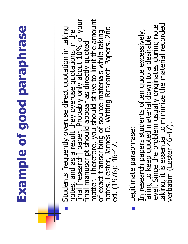# Example of good paraphrase Example of good paraphrase

Students frequently overuse direct quotation in taking<br>notes, and as a result they overuse quotations in the<br>final [research] paper. Probably only about 10% of your<br>final manuscript should appear as directly quoted<br>matter.

 $\mathbb{R}^2$ 

- Legitimate paraphrase: Legitimate paraphrase: E
- In research papers students often quote excessively,<br>failing to keep quoted material down to a desirable<br>level. Since the problem usually originates during note<br>taking, it is essential to minimize the material recorded<br>ver level. Since the problem usually originates during note<br>taking, it is essential to minimize the material recorded<br>verbatim (Lester 46-47). In research papers students often quote excessively, failing to keep quoted material down to a desirable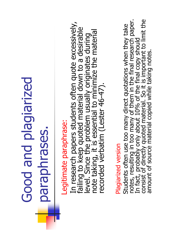#### Good and plagiarized Good and plagiarized paraphrases. paraphrases.

### egitimate paraphrase: Legitimate paraphrase:

In research papers students often quote excessively,<br>failing to keep quoted material down to a desirable<br>level. Since the problem usually originates during<br>note taking, it is essential to minimize the material<br>recorded ver

#### Plagiarized version Plagiarized version

Students often use too many direct quotations when they take<br>notes, resulting in too many of them in the final research paper.<br>In fact, probably only about 10% of the final copy should<br>consist of directly quoted material. notes, resulting in too many of them in the final research paper.<br>In fact, probably only about 10% of the final copy should<br>consist of directly quoted material. So it is important to limit the Students often use too many direct quotations when they take amount of source material copied while taking notes.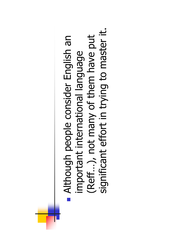significant effort in trying to master it. significant effort in trying to master it.(Reff…), not many of them have put Although people consider English an (Reff...), not many of them have put important international language important international language **Service Service**